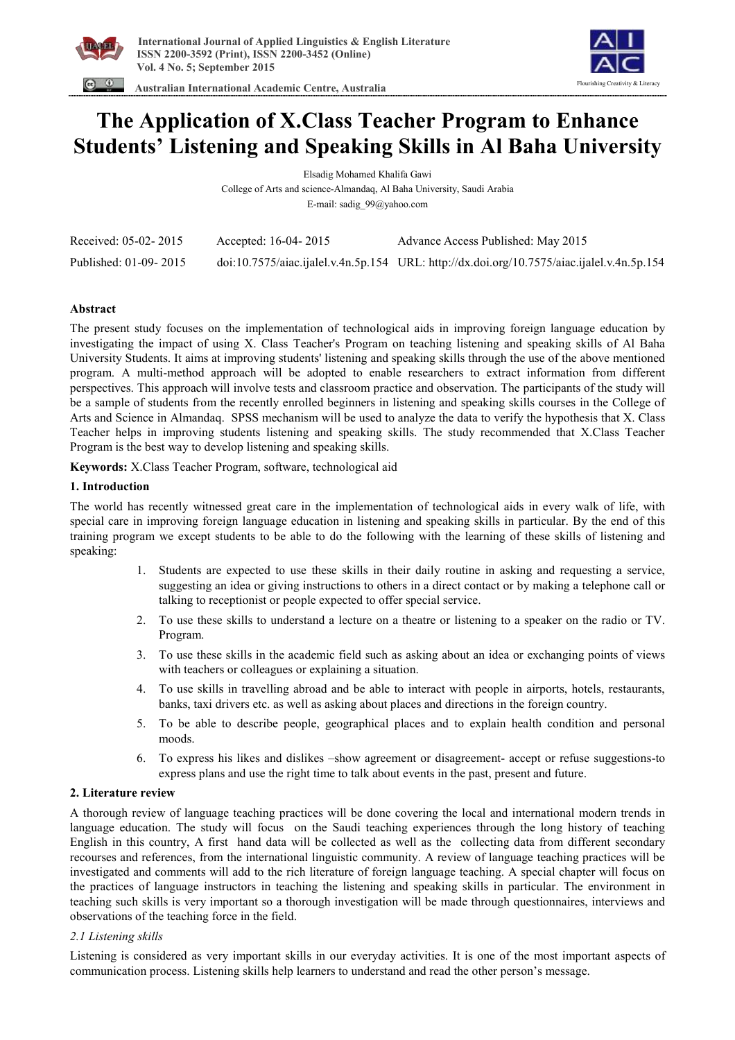



 **Australian International Academic Centre, Australia** 

# **The Application of X.Class Teacher Program to Enhance Students' Listening and Speaking Skills in Al Baha University**

Elsadig Mohamed Khalifa Gawi

College of Arts and science-Almandaq, Al Baha University, Saudi Arabia

E-mail: sadig\_99@yahoo.com

| Received: 05-02-2015  | Accepted: 16-04-2015 | Advance Access Published: May 2015                                                         |
|-----------------------|----------------------|--------------------------------------------------------------------------------------------|
| Published: 01-09-2015 |                      | doi:10.7575/aiac.ijalel.v.4n.5p.154 URL: http://dx.doi.org/10.7575/aiac.ijalel.v.4n.5p.154 |

# **Abstract**

The present study focuses on the implementation of technological aids in improving foreign language education by investigating the impact of using X. Class Teacher's Program on teaching listening and speaking skills of Al Baha University Students. It aims at improving students' listening and speaking skills through the use of the above mentioned program. A multi-method approach will be adopted to enable researchers to extract information from different perspectives. This approach will involve tests and classroom practice and observation. The participants of the study will be a sample of students from the recently enrolled beginners in listening and speaking skills courses in the College of Arts and Science in Almandaq. SPSS mechanism will be used to analyze the data to verify the hypothesis that X. Class Teacher helps in improving students listening and speaking skills. The study recommended that X.Class Teacher Program is the best way to develop listening and speaking skills.

**Keywords:** X.Class Teacher Program, software, technological aid

# **1. Introduction**

The world has recently witnessed great care in the implementation of technological aids in every walk of life, with special care in improving foreign language education in listening and speaking skills in particular. By the end of this training program we except students to be able to do the following with the learning of these skills of listening and speaking:

- 1. Students are expected to use these skills in their daily routine in asking and requesting a service, suggesting an idea or giving instructions to others in a direct contact or by making a telephone call or talking to receptionist or people expected to offer special service.
- 2. To use these skills to understand a lecture on a theatre or listening to a speaker on the radio or TV. Program.
- 3. To use these skills in the academic field such as asking about an idea or exchanging points of views with teachers or colleagues or explaining a situation.
- 4. To use skills in travelling abroad and be able to interact with people in airports, hotels, restaurants, banks, taxi drivers etc. as well as asking about places and directions in the foreign country.
- 5. To be able to describe people, geographical places and to explain health condition and personal moods.
- 6. To express his likes and dislikes –show agreement or disagreement- accept or refuse suggestions-to express plans and use the right time to talk about events in the past, present and future.

# **2. Literature review**

A thorough review of language teaching practices will be done covering the local and international modern trends in language education. The study will focus on the Saudi teaching experiences through the long history of teaching English in this country, A first hand data will be collected as well as the collecting data from different secondary recourses and references, from the international linguistic community. A review of language teaching practices will be investigated and comments will add to the rich literature of foreign language teaching. A special chapter will focus on the practices of language instructors in teaching the listening and speaking skills in particular. The environment in teaching such skills is very important so a thorough investigation will be made through questionnaires, interviews and observations of the teaching force in the field.

# *2.1 Listening skills*

Listening is considered as very important skills in our everyday activities. It is one of the most important aspects of communication process. Listening skills help learners to understand and read the other person's message.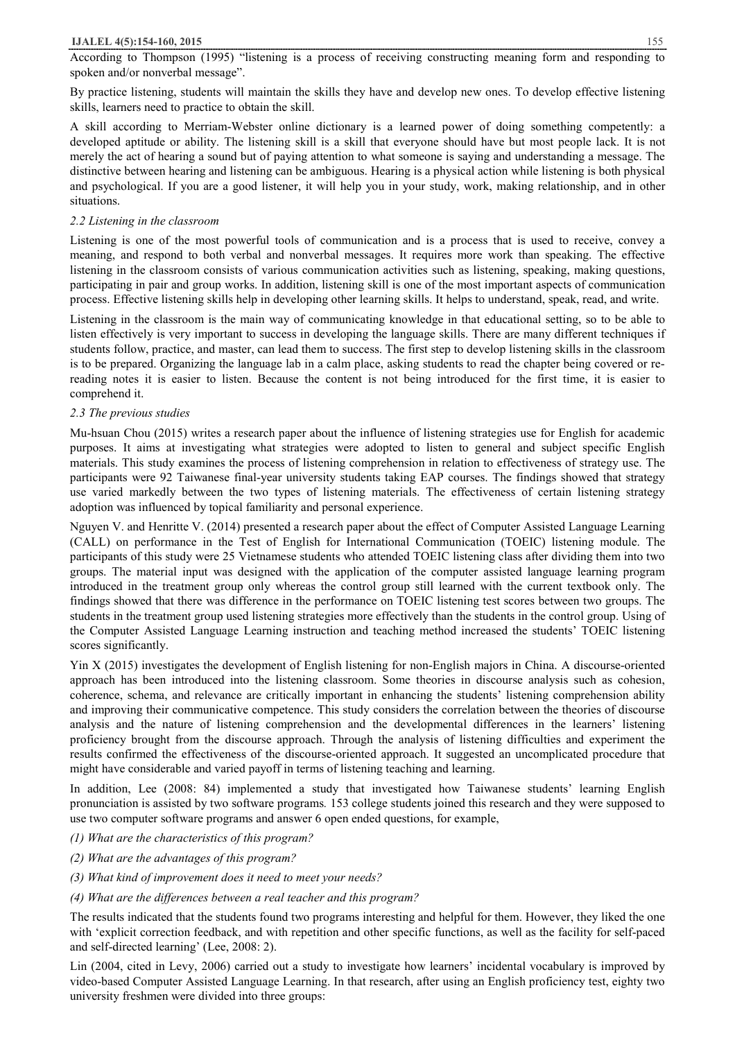#### **IJALEL 4(5):154-160, 2015** 155

According to Thompson (1995) "listening is a process of receiving constructing meaning form and responding to spoken and/or nonverbal message".

By practice listening, students will maintain the skills they have and develop new ones. To develop effective listening skills, learners need to practice to obtain the skill.

A skill according to Merriam-Webster online dictionary is a learned power of doing something competently: a developed aptitude or ability. The listening skill is a skill that everyone should have but most people lack. It is not merely the act of hearing a sound but of paying attention to what someone is saying and understanding a message. The distinctive between hearing and listening can be ambiguous. Hearing is a physical action while listening is both physical and psychological. If you are a good listener, it will help you in your study, work, making relationship, and in other situations.

## *2.2 Listening in the classroom*

Listening is one of the most powerful tools of communication and is a process that is used to receive, convey a meaning, and respond to both verbal and nonverbal messages. It requires more work than speaking. The effective listening in the classroom consists of various communication activities such as listening, speaking, making questions, participating in pair and group works. In addition, listening skill is one of the most important aspects of communication process. Effective listening skills help in developing other learning skills. It helps to understand, speak, read, and write.

Listening in the classroom is the main way of communicating knowledge in that educational setting, so to be able to listen effectively is very important to success in developing the language skills. There are many different techniques if students follow, practice, and master, can lead them to success. The first step to develop listening skills in the classroom is to be prepared. Organizing the language lab in a calm place, asking students to read the chapter being covered or rereading notes it is easier to listen. Because the content is not being introduced for the first time, it is easier to comprehend it.

## *2.3 The previous studies*

Mu-hsuan Chou (2015) writes a research paper about the influence of listening strategies use for English for academic purposes. It aims at investigating what strategies were adopted to listen to general and subject specific English materials. This study examines the process of listening comprehension in relation to effectiveness of strategy use. The participants were 92 Taiwanese final-year university students taking EAP courses. The findings showed that strategy use varied markedly between the two types of listening materials. The effectiveness of certain listening strategy adoption was influenced by topical familiarity and personal experience.

Nguyen V. and Henritte V. (2014) presented a research paper about the effect of Computer Assisted Language Learning (CALL) on performance in the Test of English for International Communication (TOEIC) listening module. The participants of this study were 25 Vietnamese students who attended TOEIC listening class after dividing them into two groups. The material input was designed with the application of the computer assisted language learning program introduced in the treatment group only whereas the control group still learned with the current textbook only. The findings showed that there was difference in the performance on TOEIC listening test scores between two groups. The students in the treatment group used listening strategies more effectively than the students in the control group. Using of the Computer Assisted Language Learning instruction and teaching method increased the students' TOEIC listening scores significantly.

Yin X (2015) investigates the development of English listening for non-English majors in China. A discourse-oriented approach has been introduced into the listening classroom. Some theories in discourse analysis such as cohesion, coherence, schema, and relevance are critically important in enhancing the students' listening comprehension ability and improving their communicative competence. This study considers the correlation between the theories of discourse analysis and the nature of listening comprehension and the developmental differences in the learners' listening proficiency brought from the discourse approach. Through the analysis of listening difficulties and experiment the results confirmed the effectiveness of the discourse-oriented approach. It suggested an uncomplicated procedure that might have considerable and varied payoff in terms of listening teaching and learning.

In addition, Lee (2008: 84) implemented a study that investigated how Taiwanese students' learning English pronunciation is assisted by two software programs*.* 153 college students joined this research and they were supposed to use two computer software programs and answer 6 open ended questions, for example,

- *(1) What are the characteristics of this program?*
- *(2) What are the advantages of this program?*
- *(3) What kind of improvement does it need to meet your needs?*

## *(4) What are the differences between a real teacher and this program?*

The results indicated that the students found two programs interesting and helpful for them. However, they liked the one with 'explicit correction feedback, and with repetition and other specific functions, as well as the facility for self-paced and self-directed learning' (Lee, 2008: 2).

Lin (2004, cited in Levy, 2006) carried out a study to investigate how learners' incidental vocabulary is improved by video-based Computer Assisted Language Learning. In that research, after using an English proficiency test, eighty two university freshmen were divided into three groups: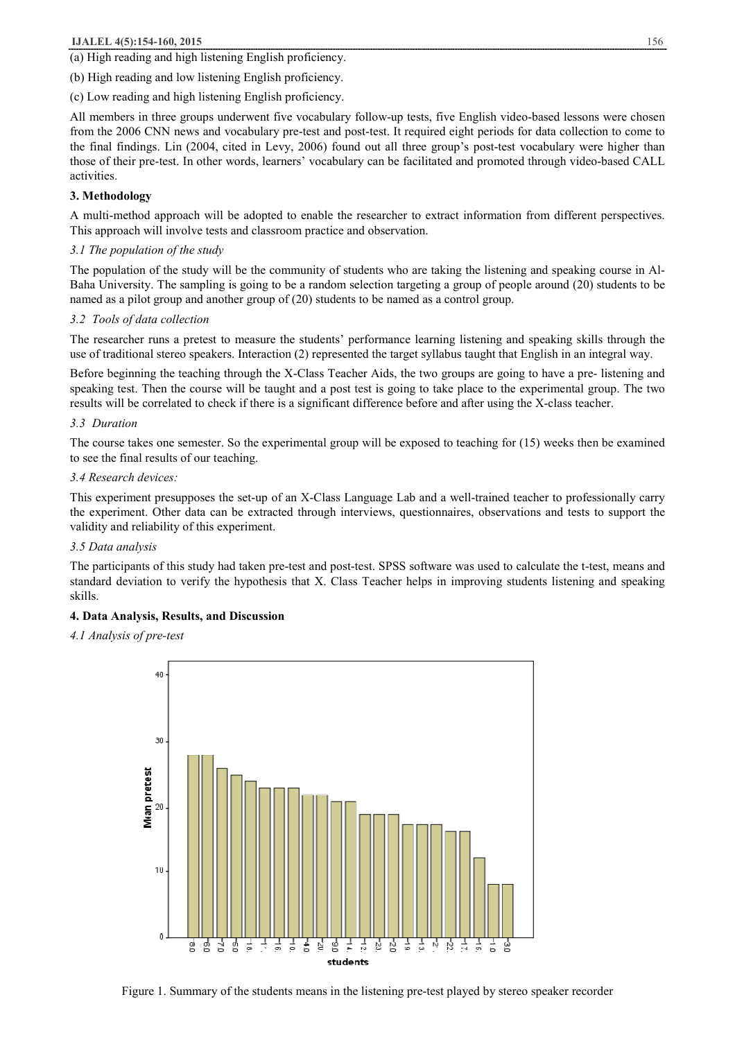## **IJALEL 4(5):154-160, 2015** 156

(a) High reading and high listening English proficiency.

(b) High reading and low listening English proficiency.

(c) Low reading and high listening English proficiency.

All members in three groups underwent five vocabulary follow-up tests, five English video-based lessons were chosen from the 2006 CNN news and vocabulary pre-test and post-test. It required eight periods for data collection to come to the final findings. Lin (2004, cited in Levy, 2006) found out all three group's post-test vocabulary were higher than those of their pre-test. In other words, learners' vocabulary can be facilitated and promoted through video-based CALL activities.

## **3. Methodology**

A multi-method approach will be adopted to enable the researcher to extract information from different perspectives. This approach will involve tests and classroom practice and observation.

#### *3.1 The population of the study*

The population of the study will be the community of students who are taking the listening and speaking course in Al-Baha University. The sampling is going to be a random selection targeting a group of people around (20) students to be named as a pilot group and another group of (20) students to be named as a control group.

#### *3.2 Tools of data collection*

The researcher runs a pretest to measure the students' performance learning listening and speaking skills through the use of traditional stereo speakers. Interaction (2) represented the target syllabus taught that English in an integral way.

Before beginning the teaching through the X-Class Teacher Aids, the two groups are going to have a pre- listening and speaking test. Then the course will be taught and a post test is going to take place to the experimental group. The two results will be correlated to check if there is a significant difference before and after using the X-class teacher.

#### *3.3 Duration*

The course takes one semester. So the experimental group will be exposed to teaching for (15) weeks then be examined to see the final results of our teaching.

#### *3.4 Research devices:*

This experiment presupposes the set-up of an X-Class Language Lab and a well-trained teacher to professionally carry the experiment. Other data can be extracted through interviews, questionnaires, observations and tests to support the validity and reliability of this experiment.

#### *3.5 Data analysis*

The participants of this study had taken pre-test and post-test. SPSS software was used to calculate the t-test, means and standard deviation to verify the hypothesis that X. Class Teacher helps in improving students listening and speaking skills.

## **4. Data Analysis, Results, and Discussion**

#### *4.1 Analysis of pre-test*



Figure 1. Summary of the students means in the listening pre-test played by stereo speaker recorder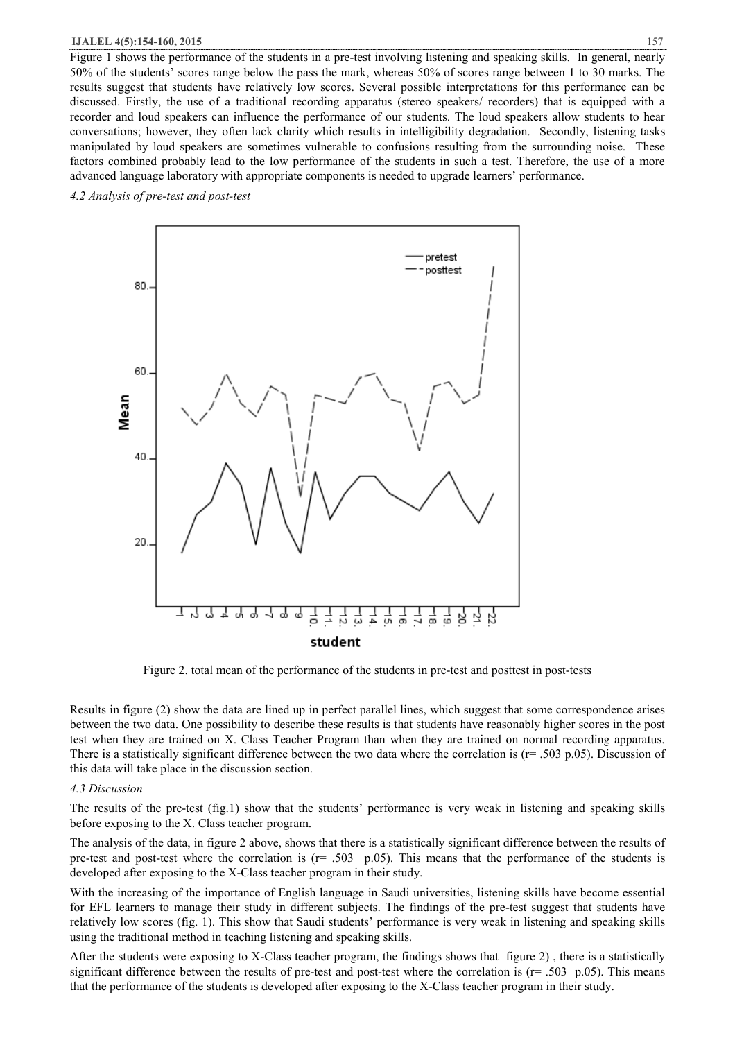#### **IJALEL 4(5):154-160, 2015** 157

Figure 1 shows the performance of the students in a pre-test involving listening and speaking skills. In general, nearly 50% of the students' scores range below the pass the mark, whereas 50% of scores range between 1 to 30 marks. The results suggest that students have relatively low scores. Several possible interpretations for this performance can be discussed. Firstly, the use of a traditional recording apparatus (stereo speakers/ recorders) that is equipped with a recorder and loud speakers can influence the performance of our students. The loud speakers allow students to hear conversations; however, they often lack clarity which results in intelligibility degradation. Secondly, listening tasks manipulated by loud speakers are sometimes vulnerable to confusions resulting from the surrounding noise. These factors combined probably lead to the low performance of the students in such a test. Therefore, the use of a more advanced language laboratory with appropriate components is needed to upgrade learners' performance.

#### *4.2 Analysis of pre-test and post-test*



Figure 2. total mean of the performance of the students in pre-test and posttest in post-tests

Results in figure (2) show the data are lined up in perfect parallel lines, which suggest that some correspondence arises between the two data. One possibility to describe these results is that students have reasonably higher scores in the post test when they are trained on X. Class Teacher Program than when they are trained on normal recording apparatus. There is a statistically significant difference between the two data where the correlation is  $(r= .503 \text{ p.05})$ . Discussion of this data will take place in the discussion section.

#### *4.3 Discussion*

The results of the pre-test (fig.1) show that the students' performance is very weak in listening and speaking skills before exposing to the X. Class teacher program.

The analysis of the data, in figure 2 above, shows that there is a statistically significant difference between the results of pre-test and post-test where the correlation is  $(r = .503 \text{ p}.05)$ . This means that the performance of the students is developed after exposing to the X-Class teacher program in their study.

With the increasing of the importance of English language in Saudi universities, listening skills have become essential for EFL learners to manage their study in different subjects. The findings of the pre-test suggest that students have relatively low scores (fig. 1). This show that Saudi students' performance is very weak in listening and speaking skills using the traditional method in teaching listening and speaking skills.

After the students were exposing to X-Class teacher program, the findings shows that figure 2) , there is a statistically significant difference between the results of pre-test and post-test where the correlation is  $(r= .503 \text{ p}.05)$ . This means that the performance of the students is developed after exposing to the X-Class teacher program in their study.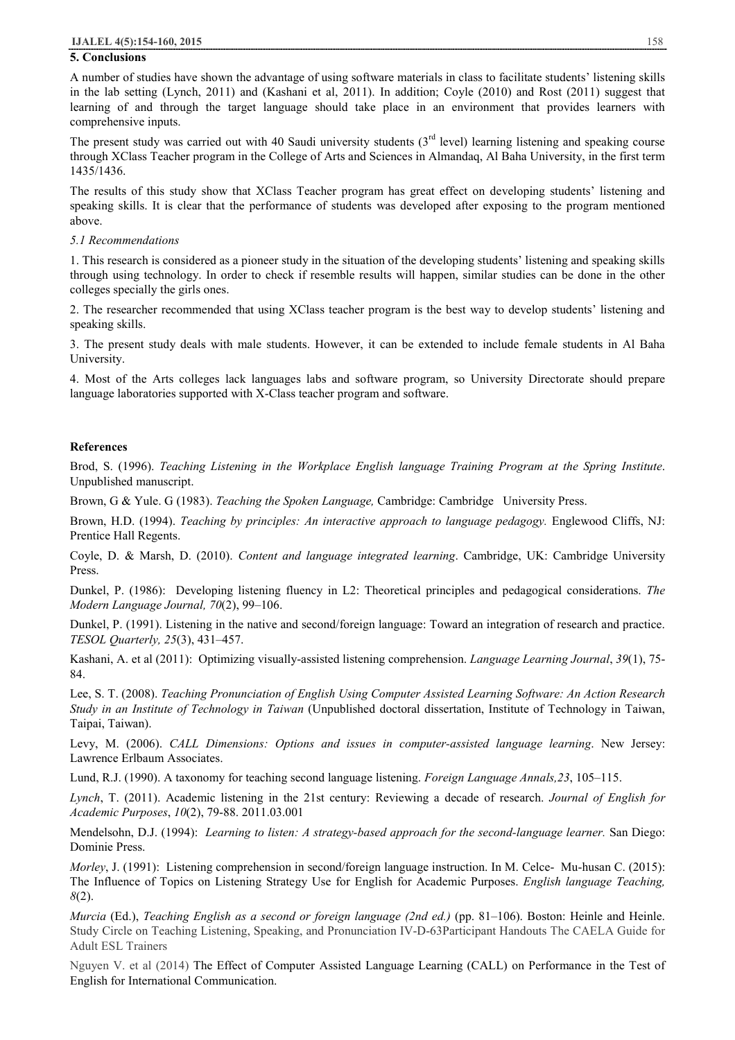#### **5. Conclusions**

A number of studies have shown the advantage of using software materials in class to facilitate students' listening skills in the lab setting (Lynch, 2011) and (Kashani et al, 2011). In addition; Coyle (2010) and Rost (2011) suggest that learning of and through the target language should take place in an environment that provides learners with comprehensive inputs.

The present study was carried out with 40 Saudi university students  $3<sup>rd</sup>$  level) learning listening and speaking course through XClass Teacher program in the College of Arts and Sciences in Almandaq, Al Baha University, in the first term 1435/1436.

The results of this study show that XClass Teacher program has great effect on developing students' listening and speaking skills. It is clear that the performance of students was developed after exposing to the program mentioned above.

#### *5.1 Recommendations*

1. This research is considered as a pioneer study in the situation of the developing students' listening and speaking skills through using technology. In order to check if resemble results will happen, similar studies can be done in the other colleges specially the girls ones.

2. The researcher recommended that using XClass teacher program is the best way to develop students' listening and speaking skills.

3. The present study deals with male students. However, it can be extended to include female students in Al Baha University.

4. Most of the Arts colleges lack languages labs and software program, so University Directorate should prepare language laboratories supported with X-Class teacher program and software.

#### **References**

Brod, S. (1996). *Teaching Listening in the Workplace English language Training Program at the Spring Institute*. Unpublished manuscript.

Brown, G & Yule. G (1983). *Teaching the Spoken Language,* Cambridge: Cambridge University Press.

Brown, H.D. (1994). *Teaching by principles: An interactive approach to language pedagogy.* Englewood Cliffs, NJ: Prentice Hall Regents.

Coyle, D. & Marsh, D. (2010). *Content and language integrated learning*. Cambridge, UK: Cambridge University Press.

Dunkel, P. (1986): Developing listening fluency in L2: Theoretical principles and pedagogical considerations. *The Modern Language Journal, 70*(2), 99–106.

Dunkel, P. (1991). Listening in the native and second/foreign language: Toward an integration of research and practice. *TESOL Quarterly, 25*(3), 431–457.

Kashani, A. et al (2011): Optimizing visually-assisted listening comprehension. *Language Learning Journal*, *39*(1), 75- 84.

Lee, S. T. (2008). *Teaching Pronunciation of English Using Computer Assisted Learning Software: An Action Research Study in an Institute of Technology in Taiwan* (Unpublished doctoral dissertation, Institute of Technology in Taiwan, Taipai, Taiwan).

Levy, M. (2006). *CALL Dimensions: Options and issues in computer-assisted language learning*. New Jersey: Lawrence Erlbaum Associates.

Lund, R.J. (1990). A taxonomy for teaching second language listening. *Foreign Language Annals,23*, 105–115.

*Lynch*, T. (2011). Academic listening in the 21st century: Reviewing a decade of research. *Journal of English for Academic Purposes*, *10*(2), 79-88. 2011.03.001

Mendelsohn, D.J. (1994): *Learning to listen: A strategy-based approach for the second-language learner.* San Diego: Dominie Press.

*Morley*, J. (1991): Listening comprehension in second/foreign language instruction. In M. Celce- Mu-husan C. (2015): The Influence of Topics on Listening Strategy Use for English for Academic Purposes. *English language Teaching, 8*(2).

*Murcia* (Ed.), *Teaching English as a second or foreign language (2nd ed.)* (pp. 81–106). Boston: Heinle and Heinle. Study Circle on Teaching Listening, Speaking, and Pronunciation IV-D-63Participant Handouts The CAELA Guide for Adult ESL Trainers

Nguyen V. et al (2014) The Effect of Computer Assisted Language Learning (CALL) on Performance in the Test of English for International Communication.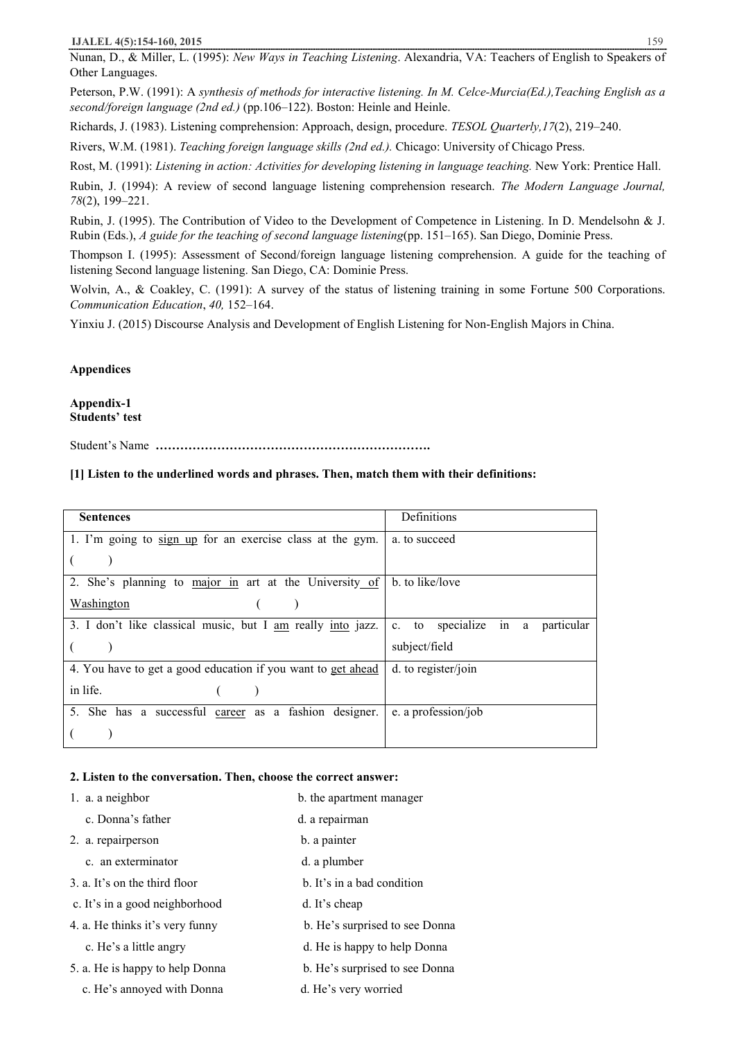Nunan, D., & Miller, L. (1995): *New Ways in Teaching Listening*. Alexandria, VA: Teachers of English to Speakers of Other Languages.

Peterson, P.W. (1991): A *synthesis of methods for interactive listening. In M. Celce-Murcia(Ed.),Teaching English as a second/foreign language (2nd ed.)* (pp.106–122). Boston: Heinle and Heinle.

Richards, J. (1983). Listening comprehension: Approach, design, procedure. *TESOL Quarterly,17*(2), 219–240.

Rivers, W.M. (1981). *Teaching foreign language skills (2nd ed.).* Chicago: University of Chicago Press.

Rost, M. (1991): *Listening in action: Activities for developing listening in language teaching.* New York: Prentice Hall.

Rubin, J. (1994): A review of second language listening comprehension research. *The Modern Language Journal, 78*(2), 199–221.

Rubin, J. (1995). The Contribution of Video to the Development of Competence in Listening. In D. Mendelsohn & J. Rubin (Eds.), *A guide for the teaching of second language listening*(pp. 151–165). San Diego, Dominie Press.

Thompson I. (1995): Assessment of Second/foreign language listening comprehension. A guide for the teaching of listening Second language listening. San Diego, CA: Dominie Press.

Wolvin, A., & Coakley, C. (1991): A survey of the status of listening training in some Fortune 500 Corporations. *Communication Education*, *40,* 152–164.

Yinxiu J. (2015) Discourse Analysis and Development of English Listening for Non-English Majors in China.

#### **Appendices**

#### **Appendix-1 Students' test**

Student's Name **………………………………………………………….** 

#### **[1] Listen to the underlined words and phrases. Then, match them with their definitions:**

| <b>Sentences</b>                                             | Definitions                            |
|--------------------------------------------------------------|----------------------------------------|
| 1. I'm going to sign up for an exercise class at the gym.    | a. to succeed                          |
|                                                              |                                        |
| 2. She's planning to major in art at the University of       | b. to like/love                        |
| Washington                                                   |                                        |
| 3. I don't like classical music, but I am really into jazz.  | c. to specialize in<br>particular<br>a |
|                                                              | subject/field                          |
| 4. You have to get a good education if you want to get ahead | d. to register/join                    |
| in life.                                                     |                                        |
| 5. She has a successful career as a fashion designer.        | e. a profession/job                    |
|                                                              |                                        |

#### **2. Listen to the conversation. Then, choose the correct answer:**

| 1. a. a neighbor                | b. the apartment manager       |
|---------------------------------|--------------------------------|
| c. Donna's father               | d. a repairman                 |
| 2. a. repairperson              | b. a painter                   |
| c. an exterminator              | d. a plumber                   |
| 3. a. It's on the third floor   | b. It's in a bad condition     |
| c. It's in a good neighborhood  | d. It's cheap                  |
| 4. a. He thinks it's very funny | b. He's surprised to see Donna |
| c. He's a little angry          | d. He is happy to help Donna   |
| 5. a. He is happy to help Donna | b. He's surprised to see Donna |
| c. He's annoyed with Donna      | d. He's very worried           |